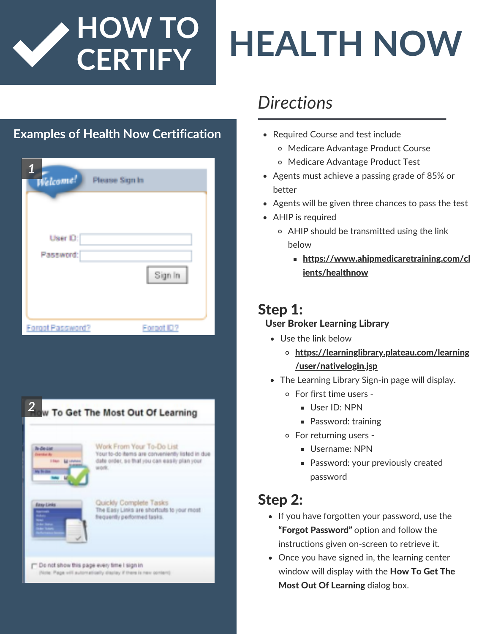

# **CERTIFY HEALTH NOW**

### **Examples of Health Now Certification • Required Course and test include**

| 1<br>Welcome!    | Please Sign In |  |
|------------------|----------------|--|
|                  |                |  |
| User D:          |                |  |
| Password:        |                |  |
|                  | Sign In        |  |
|                  |                |  |
| Forget Password? | Forgot ID?     |  |

| <b>Re-Deviced</b>                                                       | Work From Your To-Do List                                                                                |
|-------------------------------------------------------------------------|----------------------------------------------------------------------------------------------------------|
| <b>Direction dis-</b><br>1 Ham<br><b>Ed counse</b><br><b>Big Street</b> | Your to-do items are conveniently listed in due<br>date order, so that you can easily plan your<br>work. |
| <b>Base Links</b>                                                       | Quickly Complete Tasks<br>The Easy Links are shortcuts to your most<br>frequently performed tasks.       |

## *Directions*

- - Medicare Advantage Product Course
	- Medicare Advantage Product Test
- Agents must achieve a passing grade of 85% or better
- Agents will be given three chances to pass the test
- AHIP is required
	- AHIP should be transmitted using the link below
		- **[https://www.ahipmedicaretraining.com/cl](https://www.ahipmedicaretraining.com/clients/healthnow)** ients/healthnow

### Step 1:

#### User Broker Learning Library

- Use the link below
	- [https://learninglibrary.plateau.com/learning](https://learninglibrary.plateau.com/learning/user/nativelogin.jsp) /user/nativelogin.jsp
- The Learning Library Sign-in page will display.
	- For first time users
		- User ID: NPN
		- **Password: training**
	- For returning users
		- Username: NPN
		- **Password: your previously created** password

### Step 2:

- If you have forgotten your password, use the "Forgot Password" option and follow the instructions given on-screen to retrieve it.
- Once you have signed in, the learning center window will display with the How To Get The Most Out Of Learning dialog box.